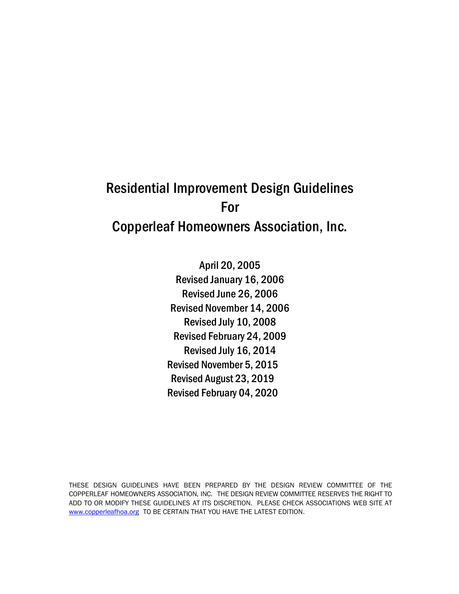## Residential Improvement Design Guidelines For Copperleaf Homeowners Association, Inc.

April 20, 2005 Revised January 16, 2006 Revised June 26, 2006 Revised November 14, 2006 Revised July 10, 2008 Revised February 24, 2009 Revised July 16, 2014 Revised November 5, 2015 Revised August 23, 2019 Revised February 04, 2020

THESE DESIGN GUIDELINES HAVE BEEN PREPARED BY THE DESIGN REVIEW COMMITTEE OF THE COPPERLEAF HOMEOWNERS ASSOCIATION, INC. THE DESIGN REVIEW COMMITTEE RESERVES THE RIGHT TO ADD TO OR MODIFY THESE GUIDELINES AT ITS DISCRETION. PLEASE CHECK ASSOCIATIONS WEB SITE AT www.copperleafhoa.org TO BE CERTAIN THAT YOU HAVE THE LATEST EDITION.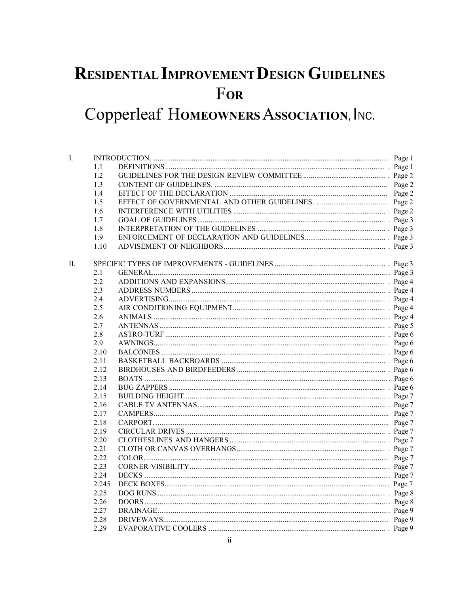# RESIDENTIAL IMPROVEMENT DESIGN GUIDELINES FOR

## Copperleaf HOMEOWNERS ASSOCIATION, INC.

| I. |       |  |  |  |
|----|-------|--|--|--|
|    | 1.1   |  |  |  |
|    | 1.2   |  |  |  |
|    | 1.3   |  |  |  |
|    | 1.4   |  |  |  |
|    | 1.5   |  |  |  |
|    | 1.6   |  |  |  |
|    | 1.7   |  |  |  |
|    | 1.8   |  |  |  |
|    | 1.9   |  |  |  |
|    | 1.10  |  |  |  |
| П. |       |  |  |  |
|    | 2.1   |  |  |  |
|    | 2.2   |  |  |  |
|    | 2.3   |  |  |  |
|    | 2.4   |  |  |  |
|    | 2.5   |  |  |  |
|    | 2.6   |  |  |  |
|    | 2.7   |  |  |  |
|    | 2.8   |  |  |  |
|    | 2.9   |  |  |  |
|    | 2.10  |  |  |  |
|    | 2.11  |  |  |  |
|    | 2.12  |  |  |  |
|    | 2.13  |  |  |  |
|    | 2.14  |  |  |  |
|    | 2.15  |  |  |  |
|    | 2.16  |  |  |  |
|    | 2.17  |  |  |  |
|    | 2.18  |  |  |  |
|    | 2.19  |  |  |  |
|    | 2.20  |  |  |  |
|    | 2.21  |  |  |  |
|    | 2.22  |  |  |  |
|    | 2.23  |  |  |  |
|    | 2.24  |  |  |  |
|    | 2.245 |  |  |  |
|    | 2.25  |  |  |  |
|    | 2.26  |  |  |  |
|    | 2.27  |  |  |  |
|    | 2.28  |  |  |  |
|    | 2.29  |  |  |  |
|    |       |  |  |  |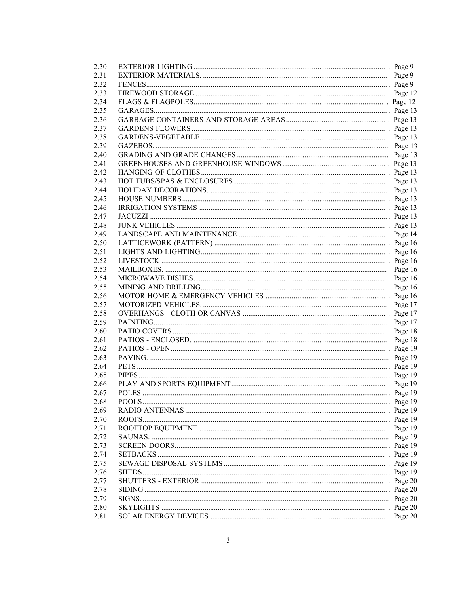| 2.30 |  |
|------|--|
| 2.31 |  |
| 2.32 |  |
| 2.33 |  |
| 2.34 |  |
| 2.35 |  |
| 2.36 |  |
| 2.37 |  |
| 2.38 |  |
| 2.39 |  |
| 2.40 |  |
| 2.41 |  |
| 2.42 |  |
| 2.43 |  |
| 2.44 |  |
| 2.45 |  |
|      |  |
| 2.46 |  |
| 2.47 |  |
| 2.48 |  |
| 2.49 |  |
| 2.50 |  |
| 2.51 |  |
| 2.52 |  |
| 2.53 |  |
| 2.54 |  |
| 2.55 |  |
| 2.56 |  |
| 2.57 |  |
| 2.58 |  |
| 2.59 |  |
| 2.60 |  |
| 2.61 |  |
| 2.62 |  |
| 2.63 |  |
| 2.64 |  |
| 2.65 |  |
| 2.66 |  |
| 2.67 |  |
| 2.68 |  |
| 2.69 |  |
| 2.70 |  |
| 2.71 |  |
| 2.72 |  |
| 2.73 |  |
| 2.74 |  |
| 2.75 |  |
|      |  |
| 2.76 |  |
| 2.77 |  |
| 2.78 |  |
| 2.79 |  |
| 2.80 |  |
| 2.81 |  |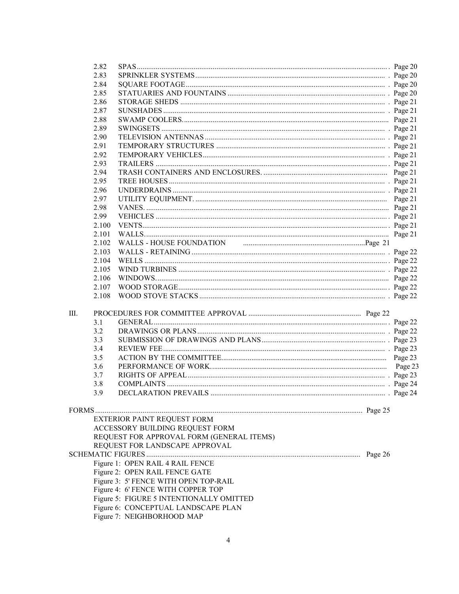|    | 2.82                                  |                                           |  |         |
|----|---------------------------------------|-------------------------------------------|--|---------|
|    | 2.83                                  |                                           |  |         |
|    | 2.84                                  |                                           |  |         |
|    | 2.85                                  |                                           |  |         |
|    | 2.86                                  |                                           |  |         |
|    | 2.87                                  |                                           |  |         |
|    | 2.88                                  |                                           |  |         |
|    | 2.89                                  |                                           |  |         |
|    | 2.90                                  |                                           |  |         |
|    | 2.91                                  |                                           |  |         |
|    | 2.92                                  |                                           |  |         |
|    | 2.93                                  |                                           |  |         |
|    | 2.94                                  |                                           |  |         |
|    | 2.95                                  |                                           |  |         |
|    | 2.96                                  |                                           |  |         |
|    |                                       |                                           |  |         |
|    | 2.97                                  |                                           |  |         |
|    | 2.98                                  |                                           |  |         |
|    | 2.99                                  |                                           |  |         |
|    | 2.100                                 |                                           |  |         |
|    | 2.101                                 |                                           |  |         |
|    | 2.102                                 |                                           |  |         |
|    | 2.103                                 |                                           |  |         |
|    | 2.104                                 |                                           |  |         |
|    | 2.105                                 |                                           |  |         |
|    | 2.106                                 |                                           |  |         |
|    | 2.107                                 |                                           |  |         |
|    | 2.108                                 |                                           |  |         |
|    |                                       |                                           |  |         |
| Ш. |                                       |                                           |  |         |
|    | 3.1                                   |                                           |  |         |
|    | 3.2                                   |                                           |  |         |
|    | 3.3                                   |                                           |  |         |
|    | 3.4                                   |                                           |  |         |
|    | 3.5                                   |                                           |  |         |
|    | 3.6                                   |                                           |  | Page 23 |
|    | 3.7                                   |                                           |  |         |
|    | 3.8                                   |                                           |  |         |
|    | 3.9                                   |                                           |  |         |
|    |                                       |                                           |  |         |
|    |                                       |                                           |  |         |
|    |                                       | EXTERIOR PAINT REQUEST FORM               |  |         |
|    |                                       | ACCESSORY BUILDING REQUEST FORM           |  |         |
|    |                                       |                                           |  |         |
|    |                                       | REQUEST FOR APPROVAL FORM (GENERAL ITEMS) |  |         |
|    |                                       | REQUEST FOR LANDSCAPE APPROVAL            |  |         |
|    |                                       |                                           |  |         |
|    | Figure 1: OPEN RAIL 4 RAIL FENCE      |                                           |  |         |
|    | Figure 2: OPEN RAIL FENCE GATE        |                                           |  |         |
|    | Figure 3: 5' FENCE WITH OPEN TOP-RAIL |                                           |  |         |
|    | Figure 4: 6' FENCE WITH COPPER TOP    |                                           |  |         |
|    |                                       | Figure 5: FIGURE 5 INTENTIONALLY OMITTED  |  |         |
|    |                                       | Figure 6: CONCEPTUAL LANDSCAPE PLAN       |  |         |
|    |                                       | Figure 7: NEIGHBORHOOD MAP                |  |         |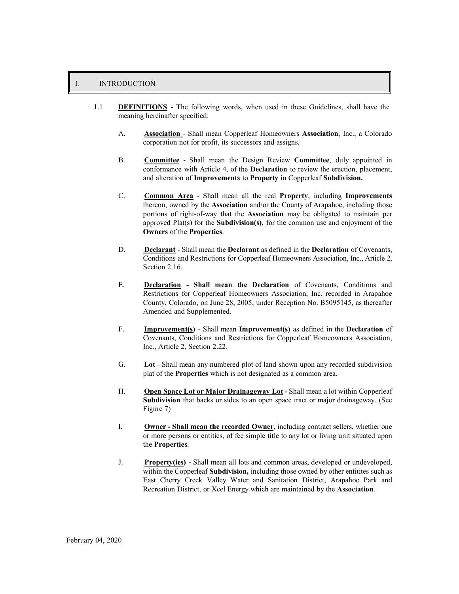#### I. INTRODUCTION

- 1.1 **DEFINITIONS**  The following words, when used in these Guidelines, shall have the meaning hereinafter specified:
	- A. **Association**  Shall mean Copperleaf Homeowners **Association**, Inc., a Colorado corporation not for profit, its successors and assigns.
	- B. **Committee**  Shall mean the Design Review **Committee**, duly appointed in conformance with Article 4, of the **Declaration** to review the erection, placement, and alteration of **Improvements** to **Property** in Copperleaf **Subdivision.**
	- C. **Common Area**  Shall mean all the real **Property**, including **Improvements**  thereon, owned by the **Association** and/or the County of Arapahoe, including those portions of right-of-way that the **Association** may be obligated to maintain per approved Plat(s) for the **Subdivision(s)**, for the common use and enjoyment of the **Owners** of the **Properties**.
	- D. **Declarant**  Shall mean the **Declarant** as defined in the **Declaration** of Covenants, Conditions and Restrictions for Copperleaf Homeowners Association, Inc., Article 2, Section 2.16.
	- E. **Declaration Shall mean the Declaration** of Covenants, Conditions and Restrictions for Copperleaf Homeowners Association, Inc. recorded in Arapahoe County, Colorado, on June 28, 2005, under Reception No. B5095145, as thereafter Amended and Supplemented.
	- F. **Improvement(s)**  Shall mean **Improvement(s)** as defined in the **Declaration** of Covenants, Conditions and Restrictions for Copperleaf Homeowners Association, Inc., Article 2, Section 2.22.
	- G. **Lot**  Shall mean any numbered plot of land shown upon any recorded subdivision plat of the **Properties** which is not designated as a common area.
	- H. **Open Space Lot or Major Drainageway Lot** Shall mean a lot within Copperleaf **Subdivision** that backs or sides to an open space tract or major drainageway. (See Figure 7)
	- I. **Owner Shall mean the recorded Owner**, including contract sellers, whether one or more persons or entities, of fee simple title to any lot or living unit situated upon the **Properties**.
	- J. **Property(ies)** Shall mean all lots and common areas, developed or undeveloped, within the Copperleaf **Subdivision,** including those owned by other entitites such as East Cherry Creek Valley Water and Sanitation District, Arapahoe Park and Recreation District, or Xcel Energy which are maintained by the **Association**.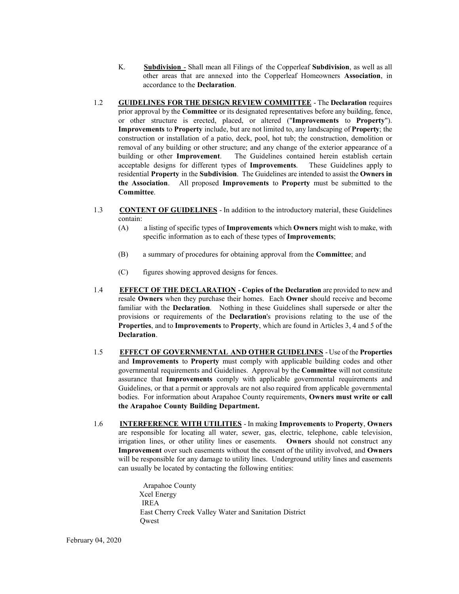- K. **Subdivision**  Shall mean all Filings of the Copperleaf **Subdivision**, as well as all other areas that are annexed into the Copperleaf Homeowners **Association**, in accordance to the **Declaration**.
- 1.2 **GUIDELINES FOR THE DESIGN REVIEW COMMITTEE**  The **Declaration** requires prior approval by the **Committee** or its designated representatives before any building, fence, or other structure is erected, placed, or altered ("**Improvements** to **Property**"). **Improvements** to **Property** include, but are not limited to, any landscaping of **Property**; the construction or installation of a patio, deck, pool, hot tub; the construction, demolition or removal of any building or other structure; and any change of the exterior appearance of a building or other **Improvement**. The Guidelines contained herein establish certain acceptable designs for different types of **Improvements**. These Guidelines apply to residential **Property** in the **Subdivision**. The Guidelines are intended to assist the **Owners in the Association**. All proposed **Improvements** to **Property** must be submitted to the **Committee**.
- 1.3 **CONTENT OF GUIDELINES**  In addition to the introductory material, these Guidelines contain:
	- (A) a listing of specific types of **Improvements** which **Owners** might wish to make, with specific information as to each of these types of **Improvements**;
	- (B) a summary of procedures for obtaining approval from the **Committee**; and
	- (C) figures showing approved designs for fences.
- 1.4 **EFFECT OF THE DECLARATION Copies of the Declaration** are provided to new and resale **Owners** when they purchase their homes. Each **Owner** should receive and become familiar with the **Declaration**. Nothing in these Guidelines shall supersede or alter the provisions or requirements of the **Declaration**'s provisions relating to the use of the **Properties**, and to **Improvements** to **Property**, which are found in Articles 3, 4 and 5 of the **Declaration**.
- 1.5 **EFFECT OF GOVERNMENTAL AND OTHER GUIDELINES**  Use of the **Properties**  and **Improvements** to **Property** must comply with applicable building codes and other governmental requirements and Guidelines. Approval by the **Committee** will not constitute assurance that **Improvements** comply with applicable governmental requirements and Guidelines, or that a permit or approvals are not also required from applicable governmental bodies. For information about Arapahoe County requirements, **Owners must write or call the Arapahoe County Building Department.**
- 1.6 **INTERFERENCE WITH UTILITIES**  In making **Improvements** to **Property**, **Owners**  are responsible for locating all water, sewer, gas, electric, telephone, cable television, irrigation lines, or other utility lines or easements. **Owners** should not construct any **Improvement** over such easements without the consent of the utility involved, and **Owners**  will be responsible for any damage to utility lines. Underground utility lines and easements can usually be located by contacting the following entities:

Arapahoe County Xcel Energy IREA East Cherry Creek Valley Water and Sanitation District **Owest**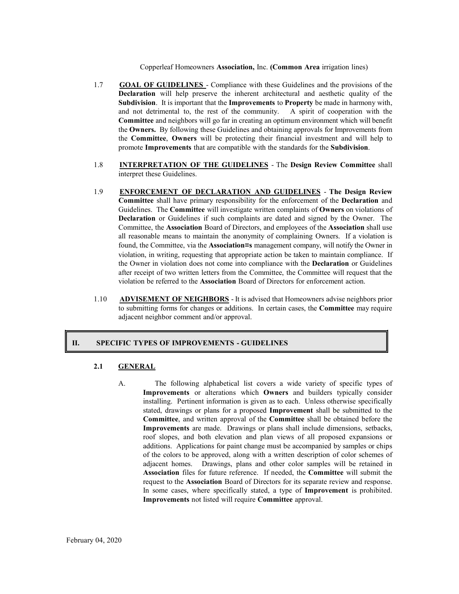Copperleaf Homeowners **Association,** Inc. **(Common Area** irrigation lines)

- 1.7 **GOAL OF GUIDELINES**  Compliance with these Guidelines and the provisions of the **Declaration** will help preserve the inherent architectural and aesthetic quality of the **Subdivision**. It is important that the **Improvements** to **Property** be made in harmony with, and not detrimental to, the rest of the community. A spirit of cooperation with the **Committee** and neighbors will go far in creating an optimum environment which will benefit the **Owners.** By following these Guidelines and obtaining approvals for Improvements from the **Committee**, **Owners** will be protecting their financial investment and will help to promote **Improvements** that are compatible with the standards for the **Subdivision**.
- 1.8 **INTERPRETATION OF THE GUIDELINES**  The **Design Review Committee** shall interpret these Guidelines.
- 1.9 **ENFORCEMENT OF DECLARATION AND GUIDELINES The Design Review Committee** shall have primary responsibility for the enforcement of the **Declaration** and Guidelines. The **Committee** will investigate written complaints of **Owners** on violations of **Declaration** or Guidelines if such complaints are dated and signed by the Owner. The Committee, the **Association** Board of Directors, and employees of the **Association** shall use all reasonable means to maintain the anonymity of complaining Owners. If a violation is found, the Committee, via the **Association=s** management company, will notify the Owner in violation, in writing, requesting that appropriate action be taken to maintain compliance. If the Owner in violation does not come into compliance with the **Declaration** or Guidelines after receipt of two written letters from the Committee, the Committee will request that the violation be referred to the **Association** Board of Directors for enforcement action.
- 1.10 **ADVISEMENT OF NEIGHBORS**  It is advised that Homeowners advise neighbors prior to submitting forms for changes or additions. In certain cases, the **Committee** may require adjacent neighbor comment and/or approval.

#### **II. SPECIFIC TYPES OF IMPROVEMENTS - GUIDELINES**

#### **2.1 GENERAL**

A. The following alphabetical list covers a wide variety of specific types of **Improvements** or alterations which **Owners** and builders typically consider installing. Pertinent information is given as to each. Unless otherwise specifically stated, drawings or plans for a proposed **Improvement** shall be submitted to the **Committee**, and written approval of the **Committee** shall be obtained before the **Improvements** are made. Drawings or plans shall include dimensions, setbacks, roof slopes, and both elevation and plan views of all proposed expansions or additions. Applications for paint change must be accompanied by samples or chips of the colors to be approved, along with a written description of color schemes of adjacent homes. Drawings, plans and other color samples will be retained in **Association** files for future reference. If needed, the **Committee** will submit the request to the **Association** Board of Directors for its separate review and response. In some cases, where specifically stated, a type of **Improvement** is prohibited. **Improvements** not listed will require **Committee** approval.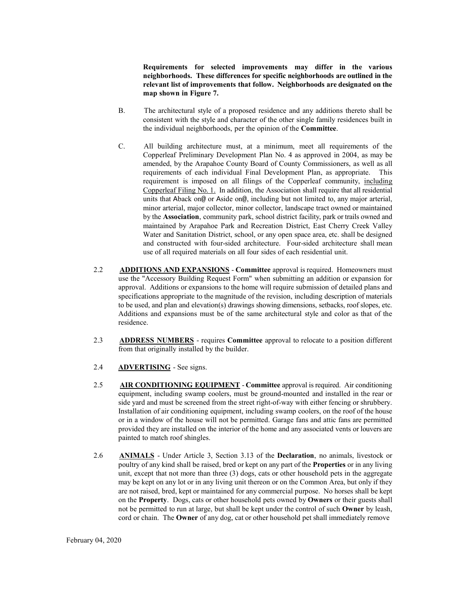**Requirements for selected improvements may differ in the various neighborhoods. These differences for specific neighborhoods are outlined in the relevant list of improvements that follow. Neighborhoods are designated on the map shown in Figure 7.**

- B. The architectural style of a proposed residence and any additions thereto shall be consistent with the style and character of the other single family residences built in the individual neighborhoods, per the opinion of the **Committee**.
- C. All building architecture must, at a minimum, meet all requirements of the Copperleaf Preliminary Development Plan No. 4 as approved in 2004, as may be amended, by the Arapahoe County Board of County Commissioners, as well as all requirements of each individual Final Development Plan, as appropriate. This requirement is imposed on all filings of the Copperleaf community, including Copperleaf Filing No. 1. In addition, the Association shall require that all residential units that Aback on@ or Aside on@, including but not limited to, any major arterial, minor arterial, major collector, minor collector, landscape tract owned or maintained by the **Association**, community park, school district facility, park or trails owned and maintained by Arapahoe Park and Recreation District, East Cherry Creek Valley Water and Sanitation District, school, or any open space area, etc. shall be designed and constructed with four-sided architecture. Four-sided architecture shall mean use of all required materials on all four sides of each residential unit.
- 2.2 **ADDITIONS AND EXPANSIONS Committee** approval is required. Homeowners must use the "Accessory Building Request Form" when submitting an addition or expansion for approval. Additions or expansions to the home will require submission of detailed plans and specifications appropriate to the magnitude of the revision, including description of materials to be used, and plan and elevation(s) drawings showing dimensions, setbacks, roof slopes, etc. Additions and expansions must be of the same architectural style and color as that of the residence.
- 2.3 **ADDRESS NUMBERS**  requires **Committee** approval to relocate to a position different from that originally installed by the builder.
- 2.4 **ADVERTISING**  See signs.
- 2.5 **AIR CONDITIONING EQUIPMENT Committee** approval is required. Air conditioning equipment, including swamp coolers, must be ground-mounted and installed in the rear or side yard and must be screened from the street right-of-way with either fencing or shrubbery. Installation of air conditioning equipment, including swamp coolers, on the roof of the house or in a window of the house will not be permitted. Garage fans and attic fans are permitted provided they are installed on the interior of the home and any associated vents or louvers are painted to match roof shingles.
- 2.6 **ANIMALS**  Under Article 3, Section 3.13 of the **Declaration**, no animals, livestock or poultry of any kind shall be raised, bred or kept on any part of the **Properties** or in any living unit, except that not more than three (3) dogs, cats or other household pets in the aggregate may be kept on any lot or in any living unit thereon or on the Common Area, but only if they are not raised, bred, kept or maintained for any commercial purpose. No horses shall be kept on the **Property**. Dogs, cats or other household pets owned by **Owners** or their guests shall not be permitted to run at large, but shall be kept under the control of such **Owner** by leash, cord or chain. The **Owner** of any dog, cat or other household pet shall immediately remove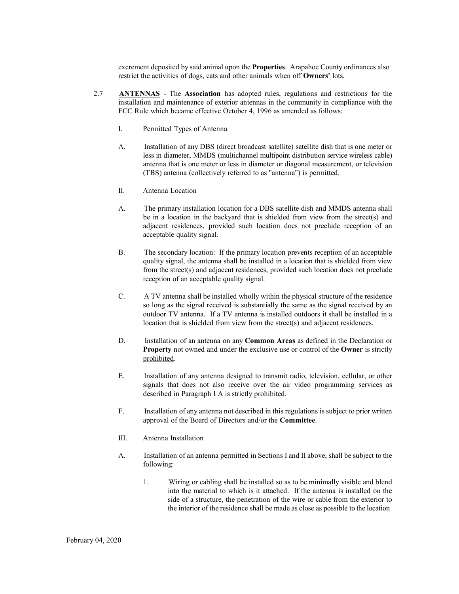excrement deposited by said animal upon the **Properties**. Arapahoe County ordinances also restrict the activities of dogs, cats and other animals when off **Owners'** lots.

- 2.7 **ANTENNAS**  The **Association** has adopted rules, regulations and restrictions for the installation and maintenance of exterior antennas in the community in compliance with the FCC Rule which became effective October 4, 1996 as amended as follows:
	- I. Permitted Types of Antenna
	- A. Installation of any DBS (direct broadcast satellite) satellite dish that is one meter or less in diameter, MMDS (multichannel multipoint distribution service wireless cable) antenna that is one meter or less in diameter or diagonal measurement, or television (TBS) antenna (collectively referred to as "antenna") is permitted.
	- II. Antenna Location
	- A. The primary installation location for a DBS satellite dish and MMDS antenna shall be in a location in the backyard that is shielded from view from the street(s) and adjacent residences, provided such location does not preclude reception of an acceptable quality signal.
	- B. The secondary location: If the primary location prevents reception of an acceptable quality signal, the antenna shall be installed in a location that is shielded from view from the street(s) and adjacent residences, provided such location does not preclude reception of an acceptable quality signal.
	- C. A TV antenna shall be installed wholly within the physical structure of the residence so long as the signal received is substantially the same as the signal received by an outdoor TV antenna. If a TV antenna is installed outdoors it shall be installed in a location that is shielded from view from the street(s) and adjacent residences.
	- D. Installation of an antenna on any **Common Areas** as defined in the Declaration or **Property** not owned and under the exclusive use or control of the **Owner** is strictly prohibited.
	- E. Installation of any antenna designed to transmit radio, television, cellular, or other signals that does not also receive over the air video programming services as described in Paragraph I A is strictly prohibited.
	- F. Installation of any antenna not described in this regulations is subject to prior written approval of the Board of Directors and/or the **Committee**.
	- III. Antenna Installation
	- A. Installation of an antenna permitted in Sections I and II above, shall be subject to the following:
		- 1. Wiring or cabling shall be installed so as to be minimally visible and blend into the material to which is it attached. If the antenna is installed on the side of a structure, the penetration of the wire or cable from the exterior to the interior of the residence shall be made as close as possible to the location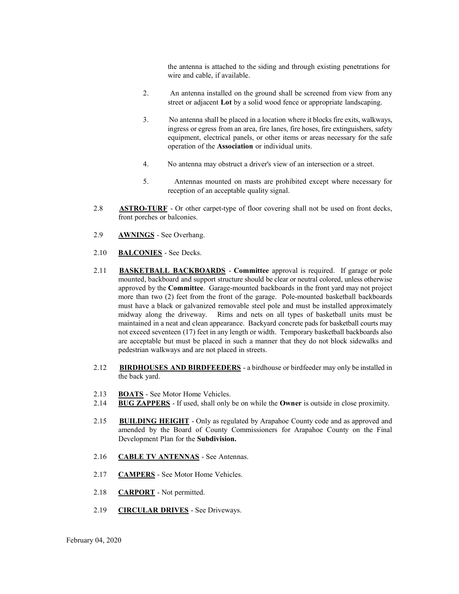the antenna is attached to the siding and through existing penetrations for wire and cable, if available.

- 2. An antenna installed on the ground shall be screened from view from any street or adjacent **Lot** by a solid wood fence or appropriate landscaping.
- 3. No antenna shall be placed in a location where it blocks fire exits, walkways, ingress or egress from an area, fire lanes, fire hoses, fire extinguishers, safety equipment, electrical panels, or other items or areas necessary for the safe operation of the **Association** or individual units.
- 4. No antenna may obstruct a driver's view of an intersection or a street.
- 5. Antennas mounted on masts are prohibited except where necessary for reception of an acceptable quality signal.
- 2.8 **ASTRO-TURF**  Or other carpet-type of floor covering shall not be used on front decks, front porches or balconies.
- 2.9 **AWNINGS**  See Overhang.
- 2.10 **BALCONIES**  See Decks.
- 2.11 **BASKETBALL BACKBOARDS Committee** approval is required. If garage or pole mounted, backboard and support structure should be clear or neutral colored, unless otherwise approved by the **Committee**. Garage-mounted backboards in the front yard may not project more than two (2) feet from the front of the garage. Pole-mounted basketball backboards must have a black or galvanized removable steel pole and must be installed approximately midway along the driveway. Rims and nets on all types of basketball units must be maintained in a neat and clean appearance. Backyard concrete pads for basketball courts may not exceed seventeen (17) feet in any length or width. Temporary basketball backboards also are acceptable but must be placed in such a manner that they do not block sidewalks and pedestrian walkways and are not placed in streets.
- 2.12 **BIRDHOUSES AND BIRDFEEDERS**  a birdhouse or birdfeeder may only be installed in the back yard.
- 2.13 **BOATS**  See Motor Home Vehicles.
- 2.14 **BUG ZAPPERS**  If used, shall only be on while the **Owner** is outside in close proximity.
- 2.15 **BUILDING HEIGHT**  Only as regulated by Arapahoe County code and as approved and amended by the Board of County Commissioners for Arapahoe County on the Final Development Plan for the **Subdivision.**
- 2.16 **CABLE TV ANTENNAS**  See Antennas.
- 2.17 **CAMPERS**  See Motor Home Vehicles.
- 2.18 **CARPORT**  Not permitted.
- 2.19 **CIRCULAR DRIVES**  See Driveways.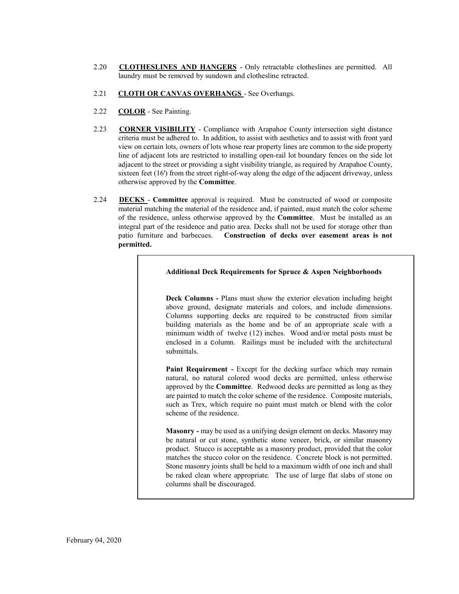- 2.20 **CLOTHESLINES AND HANGERS**  Only retractable clotheslines are permitted. All laundry must be removed by sundown and clothesline retracted.
- 2.21 **CLOTH OR CANVAS OVERHANGS**  See Overhangs.
- 2.22 **COLOR**  See Painting.
- 2.23 **CORNER VISIBILITY**  Compliance with Arapahoe County intersection sight distance criteria must be adhered to. In addition, to assist with aesthetics and to assist with front yard view on certain lots, owners of lots whose rear property lines are common to the side property line of adjacent lots are restricted to installing open-rail lot boundary fences on the side lot adjacent to the street or providing a sight visibility triangle, as required by Arapahoe County, sixteen feet (16') from the street right-of-way along the edge of the adjacent driveway, unless otherwise approved by the **Committee**.
- 2.24 **DECKS Committee** approval is required. Must be constructed of wood or composite material matching the material of the residence and, if painted, must match the color scheme of the residence, unless otherwise approved by the **Committee**. Must be installed as an integral part of the residence and patio area. Decks shall not be used for storage other than patio furniture and barbecues. **Construction of decks over easement areas is not permitted.**

#### **Additional Deck Requirements for Spruce & Aspen Neighborhoods**

**Deck Columns -** Plans must show the exterior elevation including height above ground, designate materials and colors, and include dimensions. Columns supporting decks are required to be constructed from similar building materials as the home and be of an appropriate scale with a minimum width of twelve (12) inches. Wood and/or metal posts must be enclosed in a column. Railings must be included with the architectural submittals.

Paint Requirement - Except for the decking surface which may remain natural, no natural colored wood decks are permitted, unless otherwise approved by the **Committee**. Redwood decks are permitted as long as they are painted to match the color scheme of the residence. Composite materials, such as Trex, which require no paint must match or blend with the color scheme of the residence.

**Masonry** - may be used as a unifying design element on decks. Masonry may be natural or cut stone, synthetic stone veneer, brick, or similar masonry product. Stucco is acceptable as a masonry product, provided that the color matches the stucco color on the residence. Concrete block is not permitted. Stone masonry joints shall be held to a maximum width of one inch and shall be raked clean where appropriate. The use of large flat slabs of stone on columns shall be discouraged.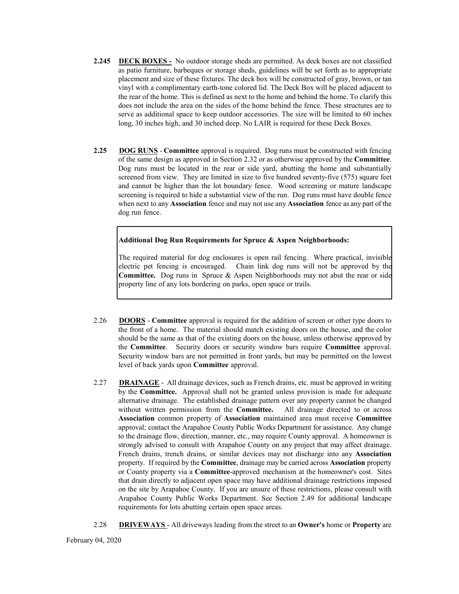- **2.245 DECK BOXES** No outdoor storage sheds are permitted. As deck boxes are not classified as patio furniture, barbeques or storage sheds, guidelines will be set forth as to appropriate placement and size of these fixtures. The deck box will be constructed of gray, brown, or tan vinyl with a complimentary earth‐tone colored lid. The Deck Box will be placed adjacent to the rear of the home. This is defined as next to the home and behind the home. To clarify this does not include the area on the sides of the home behind the fence. These structures are to serve as additional space to keep outdoor accessories. The size will be limited to 60 inches long, 30 inches high, and 30 inched deep. No LAIR is required for these Deck Boxes.
- **2.25 DOG RUNS Committee** approval is required. Dog runs must be constructed with fencing of the same design as approved in Section 2.32 or as otherwise approved by the **Committee**. Dog runs must be located in the rear or side yard, abutting the home and substantially screened from view. They are limited in size to five hundred seventy-five (575) square feet and cannot be higher than the lot boundary fence. Wood screening or mature landscape screening is required to hide a substantial view of the run. Dog runs must have double fence when next to any **Association** fence and may not use any **Association** fence as any part of the dog run fence.

#### **Additional Dog Run Requirements for Spruce & Aspen Neighborhoods:**

The required material for dog enclosures is open rail fencing. Where practical, invisible electric pet fencing is encouraged. Chain link dog runs will not be approved by the **Committee.** Dog runs in Spruce & Aspen Neighborhoods may not abut the rear or side property line of any lots bordering on parks, open space or trails.

- 2.26 **DOORS Committee** approval is required for the addition of screen or other type doors to the front of a home. The material should match existing doors on the house, and the color should be the same as that of the existing doors on the house, unless otherwise approved by the **Committee**. Security doors or security window bars require **Committee** approval. Security window bars are not permitted in front yards, but may be permitted on the lowest level of back yards upon **Committee** approval.
- 2.27 **DRAINAGE** All drainage devices, such as French drains, etc. must be approved in writing by the **Committee.** Approval shall not be granted unless provision is made for adequate alternative drainage. The established drainage pattern over any property cannot be changed without written permission from the **Committee.** All drainage directed to or across **Association** common property of **Association** maintained area must receive **Committee**  approval; contact the Arapahoe County Public Works Department for assistance. Any change to the drainage flow, direction, manner, etc., may require County approval. A homeowner is strongly advised to consult with Arapahoe County on any project that may affect drainage. French drains, trench drains, or similar devices may not discharge into any **Association**  property. If required by the **Committee**, drainage may be carried across **Association** property or County property via a **Committee**-approved mechanism at the homeowner's cost. Sites that drain directly to adjacent open space may have additional drainage restrictions imposed on the site by Arapahoe County. If you are unsure of these restrictions, please consult with Arapahoe County Public Works Department. See Section 2.49 for additional landscape requirements for lots abutting certain open space areas.
- 2.28 **DRIVEWAYS**  All driveways leading from the street to an **Owner's** home or **Property** are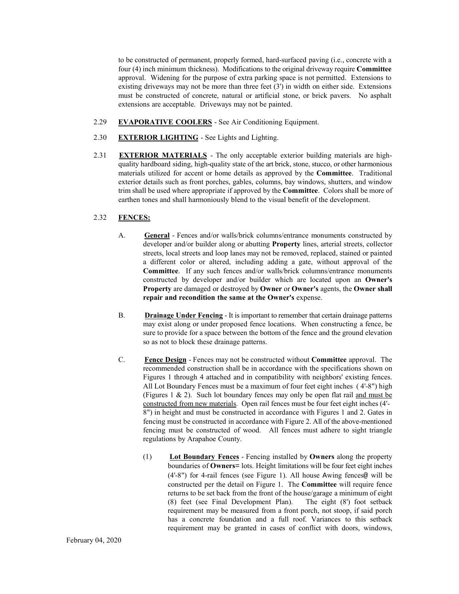to be constructed of permanent, properly formed, hard-surfaced paving (i.e., concrete with a four (4) inch minimum thickness). Modifications to the original driveway require **Committee**  approval. Widening for the purpose of extra parking space is not permitted. Extensions to existing driveways may not be more than three feet  $(3')$  in width on either side. Extensions must be constructed of concrete, natural or artificial stone, or brick pavers. No asphalt extensions are acceptable. Driveways may not be painted.

- 2.29 **EVAPORATIVE COOLERS**  See Air Conditioning Equipment.
- 2.30 **EXTERIOR LIGHTING**  See Lights and Lighting.
- 2.31 **EXTERIOR MATERIALS**  The only acceptable exterior building materials are highquality hardboard siding, high-quality state of the art brick, stone, stucco, or other harmonious materials utilized for accent or home details as approved by the **Committee**. Traditional exterior details such as front porches, gables, columns, bay windows, shutters, and window trim shall be used where appropriate if approved by the **Committee**. Colors shall be more of earthen tones and shall harmoniously blend to the visual benefit of the development.

#### 2.32 **FENCES:**

- A. **General**  Fences and/or walls/brick columns/entrance monuments constructed by developer and/or builder along or abutting **Property** lines, arterial streets, collector streets, local streets and loop lanes may not be removed, replaced, stained or painted a different color or altered, including adding a gate, without approval of the **Committee**. If any such fences and/or walls/brick columns/entrance monuments constructed by developer and/or builder which are located upon an **Owner's Property** are damaged or destroyed by **Owner** or **Owner's** agents, the **Owner shall repair and recondition the same at the Owner's** expense.
- B. **Drainage Under Fencing**  It is important to remember that certain drainage patterns may exist along or under proposed fence locations. When constructing a fence, be sure to provide for a space between the bottom of the fence and the ground elevation so as not to block these drainage patterns.
- C. **Fence Design**  Fences may not be constructed without **Committee** approval. The recommended construction shall be in accordance with the specifications shown on Figures 1 through 4 attached and in compatibility with neighbors' existing fences. All Lot Boundary Fences must be a maximum of four feet eight inches ( 4'-8") high (Figures 1  $\&$  2). Such lot boundary fences may only be open flat rail and must be constructed from new materials. Open rail fences must be four feet eight inches (4'- 8") in height and must be constructed in accordance with Figures 1 and 2. Gates in fencing must be constructed in accordance with Figure 2. All of the above-mentioned fencing must be constructed of wood. All fences must adhere to sight triangle regulations by Arapahoe County.
	- (1) **Lot Boundary Fences**  Fencing installed by **Owners** along the property boundaries of **Owners**= lots. Height limitations will be four feet eight inches (4'-8") for 4-rail fences (see Figure 1). All house Awing fences@ will be constructed per the detail on Figure 1. The **Committee** will require fence returns to be set back from the front of the house/garage a minimum of eight (8) feet (see Final Development Plan). The eight (8') foot setback requirement may be measured from a front porch, not stoop, if said porch has a concrete foundation and a full roof. Variances to this setback requirement may be granted in cases of conflict with doors, windows,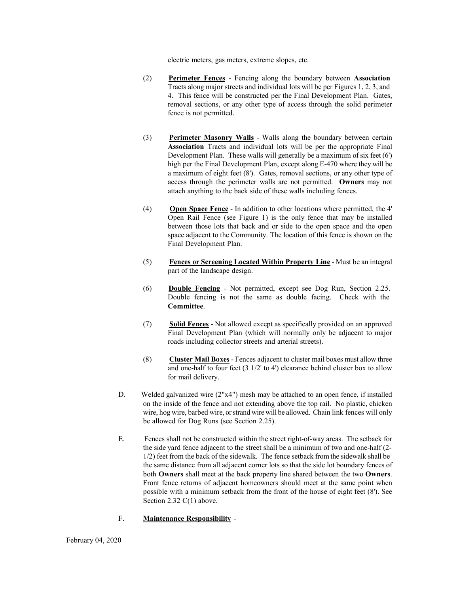electric meters, gas meters, extreme slopes, etc.

- (2) **Perimeter Fences**  Fencing along the boundary between **Association** Tracts along major streets and individual lots will be per Figures 1, 2, 3, and 4. This fence will be constructed per the Final Development Plan. Gates, removal sections, or any other type of access through the solid perimeter fence is not permitted.
- (3) **Perimeter Masonry Walls** Walls along the boundary between certain **Association** Tracts and individual lots will be per the appropriate Final Development Plan. These walls will generally be a maximum of six feet (6') high per the Final Development Plan, except along E-470 where they will be a maximum of eight feet (8'). Gates, removal sections, or any other type of access through the perimeter walls are not permitted. **Owners** may not attach anything to the back side of these walls including fences.
- (4) **Open Space Fence**  In addition to other locations where permitted, the 4' Open Rail Fence (see Figure 1) is the only fence that may be installed between those lots that back and or side to the open space and the open space adjacent to the Community. The location of this fence is shown on the Final Development Plan.
- (5) **Fences or Screening Located Within Property Line**  Must be an integral part of the landscape design.
- (6) **Double Fencing**  Not permitted, except see Dog Run, Section 2.25. Double fencing is not the same as double facing. Check with the **Committee**.
- (7) **Solid Fences**  Not allowed except as specifically provided on an approved Final Development Plan (which will normally only be adjacent to major roads including collector streets and arterial streets).
- (8) **Cluster Mail Boxes**  Fences adjacent to cluster mail boxes must allow three and one-half to four feet (3 1/2' to 4') clearance behind cluster box to allow for mail delivery.
- D. Welded galvanized wire (2"x4") mesh may be attached to an open fence, if installed on the inside of the fence and not extending above the top rail. No plastic, chicken wire, hog wire, barbed wire, or strand wire will be allowed. Chain link fences will only be allowed for Dog Runs (see Section 2.25).
- E. Fences shall not be constructed within the street right-of-way areas. The setback for the side yard fence adjacent to the street shall be a minimum of two and one-half (2- 1/2) feet from the back of the sidewalk. The fence setback from the sidewalk shall be the same distance from all adjacent corner lots so that the side lot boundary fences of both **Owners** shall meet at the back property line shared between the two **Owners**. Front fence returns of adjacent homeowners should meet at the same point when possible with a minimum setback from the front of the house of eight feet (8'). See Section 2.32 C(1) above.
- F. **Maintenance Responsibility** -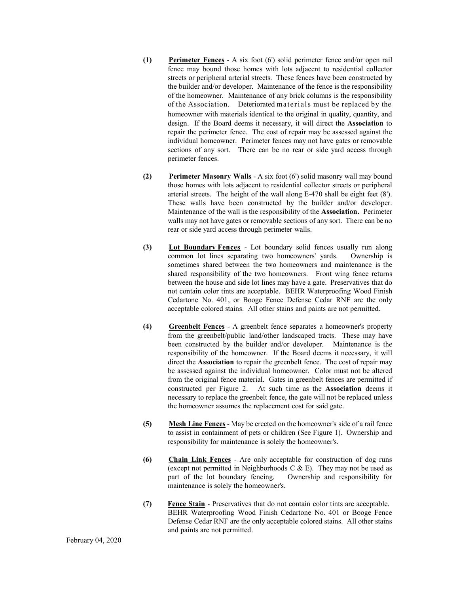- **(1) Perimeter Fences**  A six foot (6') solid perimeter fence and/or open rail fence may bound those homes with lots adjacent to residential collector streets or peripheral arterial streets. These fences have been constructed by the builder and/or developer. Maintenance of the fence is the responsibility of the homeowner. Maintenance of any brick columns is the responsibility of the Association. Deteriorated materials must be replaced by the homeowner with materials identical to the original in quality, quantity, and design. If the Board deems it necessary, it will direct the **Association** to repair the perimeter fence. The cost of repair may be assessed against the individual homeowner. Perimeter fences may not have gates or removable sections of any sort. There can be no rear or side yard access through perimeter fences.
- **(2) Perimeter Masonry Walls**  A six foot (6') solid masonry wall may bound those homes with lots adjacent to residential collector streets or peripheral arterial streets. The height of the wall along E-470 shall be eight feet (8'). These walls have been constructed by the builder and/or developer. Maintenance of the wall is the responsibility of the **Association.** Perimeter walls may not have gates or removable sections of any sort. There can be no rear or side yard access through perimeter walls.
- **(3) Lot Boundary Fences**  Lot boundary solid fences usually run along common lot lines separating two homeowners' yards. Ownership is sometimes shared between the two homeowners and maintenance is the shared responsibility of the two homeowners. Front wing fence returns between the house and side lot lines may have a gate. Preservatives that do not contain color tints are acceptable. BEHR Waterproofing Wood Finish Cedartone No. 401, or Booge Fence Defense Cedar RNF are the only acceptable colored stains. All other stains and paints are not permitted.
- **(4) Greenbelt Fences**  A greenbelt fence separates a homeowner's property from the greenbelt/public land/other landscaped tracts. These may have been constructed by the builder and/or developer. Maintenance is the responsibility of the homeowner. If the Board deems it necessary, it will direct the **Association** to repair the greenbelt fence. The cost of repair may be assessed against the individual homeowner. Color must not be altered from the original fence material. Gates in greenbelt fences are permitted if constructed per Figure 2. At such time as the **Association** deems it necessary to replace the greenbelt fence, the gate will not be replaced unless the homeowner assumes the replacement cost for said gate.
- **(5) Mesh Line Fences**  May be erected on the homeowner's side of a rail fence to assist in containment of pets or children (See Figure 1). Ownership and responsibility for maintenance is solely the homeowner's.
- **(6) Chain Link Fences**  Are only acceptable for construction of dog runs (except not permitted in Neighborhoods C  $\&$  E). They may not be used as part of the lot boundary fencing. Ownership and responsibility for maintenance is solely the homeowner's.
- **(7) Fence Stain**  Preservatives that do not contain color tints are acceptable. BEHR Waterproofing Wood Finish Cedartone No. 401 or Booge Fence Defense Cedar RNF are the only acceptable colored stains. All other stains and paints are not permitted.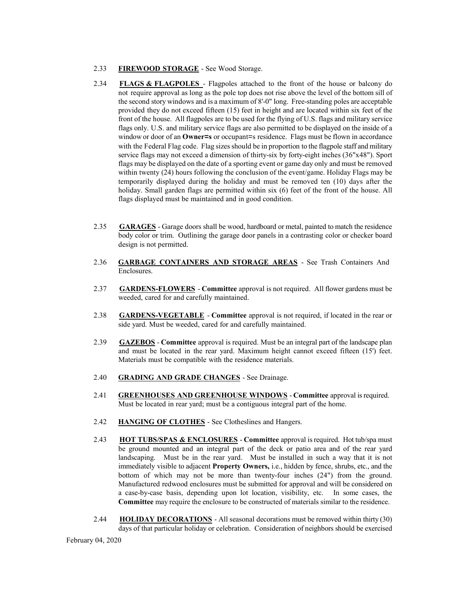#### 2.33 **FIREWOOD STORAGE** - See Wood Storage.

- 2.34 **FLAGS & FLAGPOLES**  Flagpoles attached to the front of the house or balcony do not require approval as long as the pole top does not rise above the level of the bottom sill of the second story windows and is a maximum of 8'-0" long. Free-standing poles are acceptable provided they do not exceed fifteen (15) feet in height and are located within six feet of the front of the house. All flagpoles are to be used for the flying of U.S. flags and military service flags only. U.S. and military service flags are also permitted to be displayed on the inside of a window or door of an **Owner=s** or occupant=s residence. Flags must be flown in accordance with the Federal Flag code. Flag sizes should be in proportion to the flagpole staff and military service flags may not exceed a dimension of thirty-six by forty-eight inches (36"x48"). Sport flags may be displayed on the date of a sporting event or game day only and must be removed within twenty (24) hours following the conclusion of the event/game. Holiday Flags may be temporarily displayed during the holiday and must be removed ten (10) days after the holiday. Small garden flags are permitted within six (6) feet of the front of the house. All flags displayed must be maintained and in good condition.
- 2.35 **GARAGES**  Garage doors shall be wood, hardboard or metal, painted to match the residence body color or trim. Outlining the garage door panels in a contrasting color or checker board design is not permitted.
- 2.36 **GARBAGE CONTAINERS AND STORAGE AREAS**  See Trash Containers And Enclosures.
- 2.37 **GARDENS-FLOWERS Committee** approval is not required. All flower gardens must be weeded, cared for and carefully maintained.
- 2.38 **GARDENS-VEGETABLE Committee** approval is not required, if located in the rear or side yard. Must be weeded, cared for and carefully maintained.
- 2.39 **GAZEBOS Committee** approval is required. Must be an integral part of the landscape plan and must be located in the rear yard. Maximum height cannot exceed fifteen (15') feet. Materials must be compatible with the residence materials.
- 2.40 **GRADING AND GRADE CHANGES**  See Drainage.
- 2.41 **GREENHOUSES AND GREENHOUSE WINDOWS Committee** approval is required. Must be located in rear yard; must be a contiguous integral part of the home.
- 2.42 **HANGING OF CLOTHES**  See Clotheslines and Hangers.
- 2.43 **HOT TUBS/SPAS & ENCLOSURES Committee** approval is required. Hot tub/spa must be ground mounted and an integral part of the deck or patio area and of the rear yard landscaping. Must be in the rear yard. Must be installed in such a way that it is not immediately visible to adjacent **Property Owners,** i.e., hidden by fence, shrubs, etc., and the bottom of which may not be more than twenty-four inches (24") from the ground. Manufactured redwood enclosures must be submitted for approval and will be considered on a case-by-case basis, depending upon lot location, visibility, etc. In some cases, the **Committee** may require the enclosure to be constructed of materials similar to the residence.
- 2.44 **HOLIDAY DECORATIONS** All seasonal decorations must be removed within thirty (30) days of that particular holiday or celebration. Consideration of neighbors should be exercised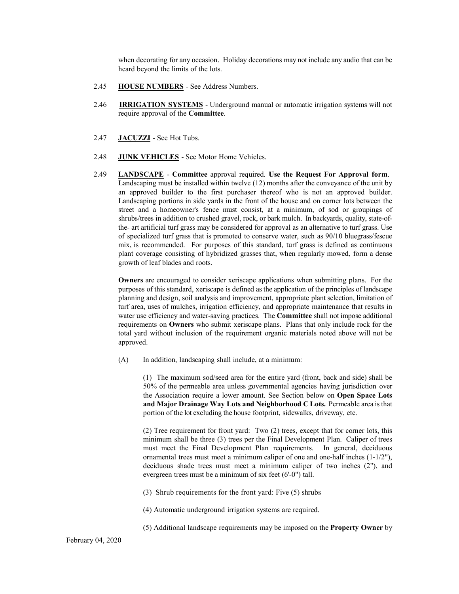when decorating for any occasion. Holiday decorations may not include any audio that can be heard beyond the limits of the lots.

- 2.45 **HOUSE NUMBERS**  See Address Numbers.
- 2.46 **IRRIGATION SYSTEMS**  Underground manual or automatic irrigation systems will not require approval of the **Committee**.
- 2.47 **JACUZZI**  See Hot Tubs.
- 2.48 **JUNK VEHICLES**  See Motor Home Vehicles.
- 2.49 **LANDSCAPE Committee** approval required. **Use the Request For Approval form**. Landscaping must be installed within twelve (12) months after the conveyance of the unit by an approved builder to the first purchaser thereof who is not an approved builder. Landscaping portions in side yards in the front of the house and on corner lots between the street and a homeowner's fence must consist, at a minimum, of sod or groupings of shrubs/trees in addition to crushed gravel, rock, or bark mulch. In backyards, quality, state-ofthe- art artificial turf grass may be considered for approval as an alternative to turf grass. Use of specialized turf grass that is promoted to conserve water, such as 90/10 bluegrass/fescue mix, is recommended. For purposes of this standard, turf grass is defined as continuous plant coverage consisting of hybridized grasses that, when regularly mowed, form a dense growth of leaf blades and roots.

**Owners** are encouraged to consider xeriscape applications when submitting plans. For the purposes of this standard, xeriscape is defined as the application of the principles of landscape planning and design, soil analysis and improvement, appropriate plant selection, limitation of turf area, uses of mulches, irrigation efficiency, and appropriate maintenance that results in water use efficiency and water-saving practices. The **Committee** shall not impose additional requirements on **Owners** who submit xeriscape plans. Plans that only include rock for the total yard without inclusion of the requirement organic materials noted above will not be approved.

(A) In addition, landscaping shall include, at a minimum:

(1) The maximum sod/seed area for the entire yard (front, back and side) shall be 50% of the permeable area unless governmental agencies having jurisdiction over the Association require a lower amount. See Section below on **Open Space Lots and Major Drainage Way Lots and Neighborhood C Lots.** Permeable area is that portion of the lot excluding the house footprint, sidewalks, driveway, etc.

(2) Tree requirement for front yard: Two (2) trees, except that for corner lots, this minimum shall be three (3) trees per the Final Development Plan. Caliper of trees must meet the Final Development Plan requirements. In general, deciduous ornamental trees must meet a minimum caliper of one and one-half inches (1-1/2"), deciduous shade trees must meet a minimum caliper of two inches (2"), and evergreen trees must be a minimum of six feet (6'-0") tall.

(3) Shrub requirements for the front yard: Five (5) shrubs

(4) Automatic underground irrigation systems are required.

(5) Additional landscape requirements may be imposed on the **Property Owner** by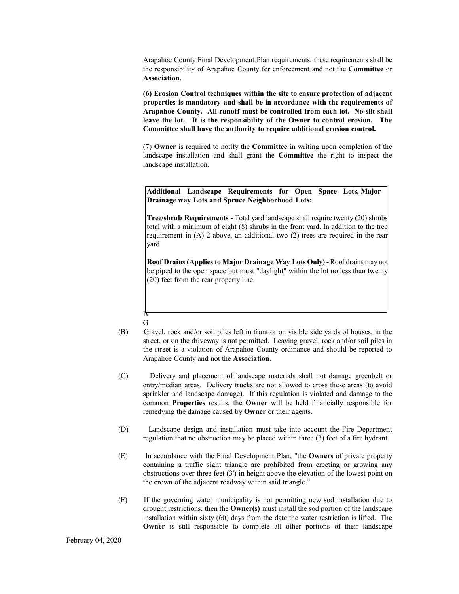Arapahoe County Final Development Plan requirements; these requirements shall be the responsibility of Arapahoe County for enforcement and not the **Committee** or **Association.**

**(6) Erosion Control techniques within the site to ensure protection of adjacent properties is mandatory and shall be in accordance with the requirements of Arapahoe County. All runoff must be controlled from each lot. No silt shall leave the lot. It is the responsibility of the Owner to control erosion. The Committee shall have the authority to require additional erosion control.**

(7) **Owner** is required to notify the **Committee** in writing upon completion of the landscape installation and shall grant the **Committee** the right to inspect the landscape installation.

**Additional Landscape Requirements for Open Space Lots, Major Drainage way Lots and Spruce Neighborhood Lots:**

**Tree/shrub Requirements - Total yard landscape shall require twenty (20) shrubs** total with a minimum of eight (8) shrubs in the front yard. In addition to the tree requirement in (A) 2 above, an additional two (2) trees are required in the rear yard.

**Roof Drains (Applies to Major Drainage Way Lots Only) -** Roof drains may not be piped to the open space but must "daylight" within the lot no less than twenty (20) feet from the rear property line.

G

B

- (B) Gravel, rock and/or soil piles left in front or on visible side yards of houses, in the street, or on the driveway is not permitted. Leaving gravel, rock and/or soil piles in the street is a violation of Arapahoe County ordinance and should be reported to Arapahoe County and not the **Association.**
- (C) Delivery and placement of landscape materials shall not damage greenbelt or entry/median areas. Delivery trucks are not allowed to cross these areas (to avoid sprinkler and landscape damage). If this regulation is violated and damage to the common **Properties** results, the **Owner** will be held financially responsible for remedying the damage caused by **Owner** or their agents.
- (D) Landscape design and installation must take into account the Fire Department regulation that no obstruction may be placed within three (3) feet of a fire hydrant.
- (E) In accordance with the Final Development Plan, "the **Owners** of private property containing a traffic sight triangle are prohibited from erecting or growing any obstructions over three feet (3') in height above the elevation of the lowest point on the crown of the adjacent roadway within said triangle."
- (F) If the governing water municipality is not permitting new sod installation due to drought restrictions, then the **Owner(s)** must install the sod portion of the landscape installation within sixty (60) days from the date the water restriction is lifted. The **Owner** is still responsible to complete all other portions of their landscape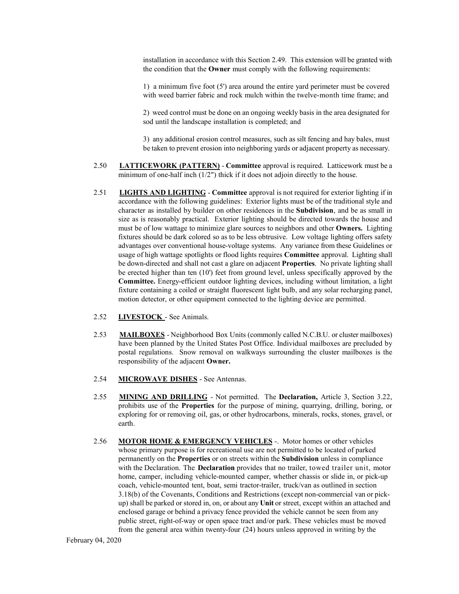installation in accordance with this Section 2.49. This extension will be granted with the condition that the **Owner** must comply with the following requirements:

1) a minimum five foot (5') area around the entire yard perimeter must be covered with weed barrier fabric and rock mulch within the twelve-month time frame; and

2) weed control must be done on an ongoing weekly basis in the area designated for sod until the landscape installation is completed; and

3) any additional erosion control measures, such as silt fencing and hay bales, must be taken to prevent erosion into neighboring yards or adjacent property as necessary.

- 2.50 **LATTICEWORK (PATTERN) Committee** approval is required. Latticework must be a minimum of one-half inch (1/2") thick if it does not adjoin directly to the house.
- 2.51 **LIGHTS AND LIGHTING Committee** approval is not required for exterior lighting if in accordance with the following guidelines: Exterior lights must be of the traditional style and character as installed by builder on other residences in the **Subdivision**, and be as small in size as is reasonably practical. Exterior lighting should be directed towards the house and must be of low wattage to minimize glare sources to neighbors and other **Owners.** Lighting fixtures should be dark colored so as to be less obtrusive. Low voltage lighting offers safety advantages over conventional house-voltage systems. Any variance from these Guidelines or usage of high wattage spotlights or flood lights requires **Committee** approval. Lighting shall be down-directed and shall not cast a glare on adjacent **Properties**. No private lighting shall be erected higher than ten (10') feet from ground level, unless specifically approved by the **Committee.** Energy-efficient outdoor lighting devices, including without limitation, a light fixture containing a coiled or straight fluorescent light bulb, and any solar recharging panel, motion detector, or other equipment connected to the lighting device are permitted.
- 2.52 **LIVESTOCK** See Animals.
- 2.53 **MAILBOXES**  Neighborhood Box Units (commonly called N.C.B.U. or cluster mailboxes) have been planned by the United States Post Office. Individual mailboxes are precluded by postal regulations. Snow removal on walkways surrounding the cluster mailboxes is the responsibility of the adjacent **Owner.**
- 2.54 **MICROWAVE DISHES**  See Antennas.
- 2.55 **MINING AND DRILLING**  Not permitted. The **Declaration,** Article 3, Section 3.22, prohibits use of the **Properties** for the purpose of mining, quarrying, drilling, boring, or exploring for or removing oil, gas, or other hydrocarbons, minerals, rocks, stones, gravel, or earth.
- 2.56 **MOTOR HOME & EMERGENCY VEHICLES** -. Motor homes or other vehicles whose primary purpose is for recreational use are not permitted to be located of parked permanently on the **Properties** or on streets within the **Subdivision** unless in compliance with the Declaration. The **Declaration** provides that no trailer, towed trailer unit, motor home, camper, including vehicle-mounted camper, whether chassis or slide in, or pick-up coach, vehicle-mounted tent, boat, semi tractor-trailer, truck/van as outlined in section 3.18(b) of the Covenants, Conditions and Restrictions (except non-commercial van or pickup) shall be parked or stored in, on, or about any **Unit** or street, except within an attached and enclosed garage or behind a privacy fence provided the vehicle cannot be seen from any public street, right-of-way or open space tract and/or park. These vehicles must be moved from the general area within twenty-four (24) hours unless approved in writing by the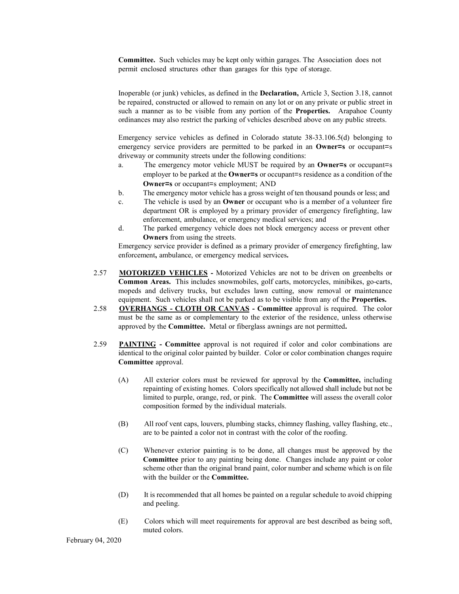**Committee.** Such vehicles may be kept only within garages. The Association does not permit enclosed structures other than garages for this type of storage.

Inoperable (or junk) vehicles, as defined in the **Declaration,** Article 3, Section 3.18, cannot be repaired, constructed or allowed to remain on any lot or on any private or public street in such a manner as to be visible from any portion of the **Properties.** Arapahoe County ordinances may also restrict the parking of vehicles described above on any public streets.

Emergency service vehicles as defined in Colorado statute 38-33.106.5(d) belonging to emergency service providers are permitted to be parked in an **Owner=s** or occupant=s driveway or community streets under the following conditions:

- a. The emergency motor vehicle MUST be required by an **Owner=s** or occupant=s employer to be parked at the **Owner=s** or occupant=s residence as a condition of the **Owner=s** or occupant=s employment; AND
- b. The emergency motor vehicle has a gross weight of ten thousand pounds or less; and
- c. The vehicle is used by an **Owner** or occupant who is a member of a volunteer fire department OR is employed by a primary provider of emergency firefighting, law enforcement, ambulance, or emergency medical services; and
- d. The parked emergency vehicle does not block emergency access or prevent other **Owners** from using the streets.

Emergency service provider is defined as a primary provider of emergency firefighting, law enforcement**,** ambulance, or emergency medical services**.**

- 2.57 **MOTORIZED VEHICLES** Motorized Vehicles are not to be driven on greenbelts or **Common Areas.** This includes snowmobiles, golf carts, motorcycles, minibikes, go-carts, mopeds and delivery trucks, but excludes lawn cutting, snow removal or maintenance equipment. Such vehicles shall not be parked as to be visible from any of the **Properties.**
- 2.58 **OVERHANGS CLOTH OR CANVAS Committee** approval is required. The color must be the same as or complementary to the exterior of the residence, unless otherwise approved by the **Committee.** Metal or fiberglass awnings are not permitted**.**
- 2.59 **PAINTING Committee** approval is not required if color and color combinations are identical to the original color painted by builder. Color or color combination changes require **Committee** approval.
	- (A) All exterior colors must be reviewed for approval by the **Committee,** including repainting of existing homes. Colors specifically not allowed shall include but not be limited to purple, orange, red, or pink. The **Committee** will assess the overall color composition formed by the individual materials.
	- (B) All roof vent caps, louvers, plumbing stacks, chimney flashing, valley flashing, etc., are to be painted a color not in contrast with the color of the roofing.
	- (C) Whenever exterior painting is to be done, all changes must be approved by the **Committee** prior to any painting being done. Changes include any paint or color scheme other than the original brand paint, color number and scheme which is on file with the builder or the **Committee.**
	- (D) It is recommended that all homes be painted on a regular schedule to avoid chipping and peeling.
	- (E) Colors which will meet requirements for approval are best described as being soft, muted colors.

February 04, 2020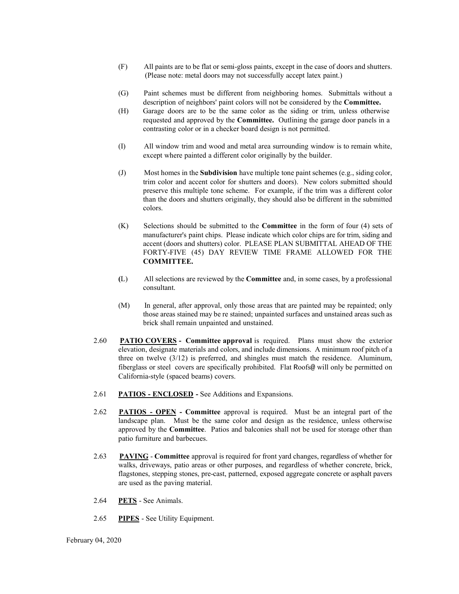- (F) All paints are to be flat or semi-gloss paints, except in the case of doors and shutters. (Please note: metal doors may not successfully accept latex paint.)
- (G) Paint schemes must be different from neighboring homes. Submittals without a description of neighbors' paint colors will not be considered by the **Committee.**
- (H) Garage doors are to be the same color as the siding or trim, unless otherwise requested and approved by the **Committee.** Outlining the garage door panels in a contrasting color or in a checker board design is not permitted.
- (I) All window trim and wood and metal area surrounding window is to remain white, except where painted a different color originally by the builder.
- (J) Most homes in the **Subdivision** have multiple tone paint schemes (e.g., siding color, trim color and accent color for shutters and doors). New colors submitted should preserve this multiple tone scheme. For example, if the trim was a different color than the doors and shutters originally, they should also be different in the submitted colors.
- (K) Selections should be submitted to the **Committee** in the form of four (4) sets of manufacturer's paint chips. Please indicate which color chips are for trim, siding and accent (doors and shutters) color. PLEASE PLAN SUBMITTAL AHEAD OF THE FORTY-FIVE (45) DAY REVIEW TIME FRAME ALLOWED FOR THE **COMMITTEE.**
- **(**L) All selections are reviewed by the **Committee** and, in some cases, by a professional consultant.
- (M) In general, after approval, only those areas that are painted may be repainted; only those areas stained may be re stained; unpainted surfaces and unstained areas such as brick shall remain unpainted and unstained.
- 2.60 **PATIO COVERS Committee approval** is required. Plans must show the exterior elevation, designate materials and colors, and include dimensions. A minimum roof pitch of a three on twelve (3/12) is preferred, and shingles must match the residence. Aluminum, fiberglass or steel covers are specifically prohibited. Flat Roofs@ will only be permitted on California-style (spaced beams) covers.
- 2.61 **PATIOS ENCLOSED** See Additions and Expansions.
- 2.62 **PATIOS OPEN Committee** approval is required. Must be an integral part of the landscape plan. Must be the same color and design as the residence, unless otherwise approved by the **Committee**. Patios and balconies shall not be used for storage other than patio furniture and barbecues.
- 2.63 **PAVING Committee** approval is required for front yard changes, regardless of whether for walks, driveways, patio areas or other purposes, and regardless of whether concrete, brick, flagstones, stepping stones, pre-cast, patterned, exposed aggregate concrete or asphalt pavers are used as the paving material.
- 2.64 **PETS**  See Animals.
- 2.65 **PIPES**  See Utility Equipment.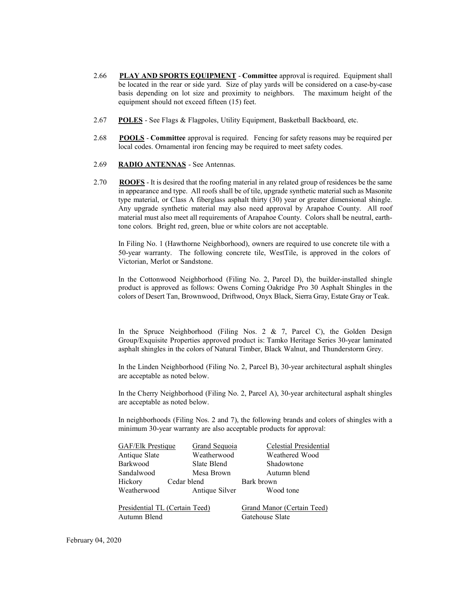- 2.66 **PLAY AND SPORTS EQUIPMENT Committee** approval is required. Equipment shall be located in the rear or side yard. Size of play yards will be considered on a case-by-case basis depending on lot size and proximity to neighbors. The maximum height of the equipment should not exceed fifteen (15) feet.
- 2.67 **POLES**  See Flags & Flagpoles, Utility Equipment, Basketball Backboard, etc.
- 2.68 **POOLS Committee** approval is required. Fencing for safety reasons may be required per local codes. Ornamental iron fencing may be required to meet safety codes.
- 2.69 **RADIO ANTENNAS**  See Antennas.
- 2.70 **ROOFS**  It is desired that the roofing material in any related group of residences be the same in appearance and type. All roofs shall be of tile, upgrade synthetic material such as Masonite type material, or Class A fiberglass asphalt thirty (30) year or greater dimensional shingle. Any upgrade synthetic material may also need approval by Arapahoe County. All roof material must also meet all requirements of Arapahoe County. Colors shall be neutral, earthtone colors. Bright red, green, blue or white colors are not acceptable.

In Filing No. 1 (Hawthorne Neighborhood), owners are required to use concrete tile with a 50-year warranty. The following concrete tile, WestTile, is approved in the colors of Victorian, Merlot or Sandstone.

In the Cottonwood Neighborhood (Filing No. 2, Parcel D), the builder-installed shingle product is approved as follows: Owens Corning Oakridge Pro 30 Asphalt Shingles in the colors of Desert Tan, Brownwood, Driftwood, Onyx Black, Sierra Gray, Estate Gray or Teak.

In the Spruce Neighborhood (Filing Nos. 2 & 7, Parcel C), the Golden Design Group/Exquisite Properties approved product is: Tamko Heritage Series 30-year laminated asphalt shingles in the colors of Natural Timber, Black Walnut, and Thunderstorm Grey.

In the Linden Neighborhood (Filing No. 2, Parcel B), 30-year architectural asphalt shingles are acceptable as noted below.

In the Cherry Neighborhood (Filing No. 2, Parcel A), 30-year architectural asphalt shingles are acceptable as noted below.

In neighborhoods (Filing Nos. 2 and 7), the following brands and colors of shingles with a minimum 30-year warranty are also acceptable products for approval:

| GAF/Elk Prestique              | Grand Sequoia  | Celestial Presidential            |
|--------------------------------|----------------|-----------------------------------|
| Antique Slate                  | Weatherwood    | Weathered Wood                    |
| Barkwood                       | Slate Blend    | Shadowtone                        |
| Sandalwood                     | Mesa Brown     | Autumn blend                      |
| Hickory                        | Cedar blend    | Bark brown                        |
| Weatherwood                    | Antique Silver | Wood tone                         |
| Presidential TL (Certain Teed) |                | <b>Grand Manor (Certain Teed)</b> |
| Autumn Blend                   |                | Gatehouse Slate                   |

February 04, 2020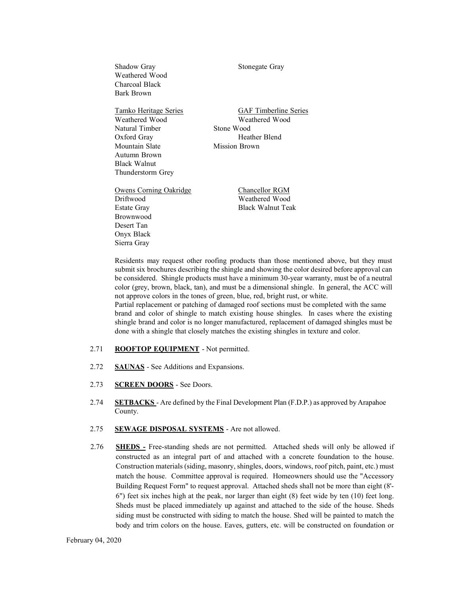| Shadow Gray<br>Weathered Wood<br>Charcoal Black<br>Bark Brown | Stonegate Gray                                                 |
|---------------------------------------------------------------|----------------------------------------------------------------|
| <u>Tamko Heritage Series</u>                                  | <b>GAF Timberline Series</b>                                   |
| Weathered Wood                                                | Weathered Wood                                                 |
| Natural Timber                                                | Stone Wood                                                     |
| Oxford Gray                                                   | Heather Blend                                                  |
| Mountain Slate                                                | Mission Brown                                                  |
| Autumn Brown                                                  |                                                                |
| <b>Black Walnut</b>                                           |                                                                |
| Thunderstorm Grey                                             |                                                                |
| Owens Corning Oakridge                                        | <b>Chancellor RGM</b>                                          |
| Driftwood                                                     | Weathered Wood                                                 |
| <b>Estate Gray</b>                                            | <b>Black Walnut Teak</b>                                       |
| <b>Brownwood</b>                                              |                                                                |
| Desert Tan                                                    |                                                                |
| Onyx Black                                                    |                                                                |
| Sierra Gray                                                   |                                                                |
|                                                               | Residents may request other roofing products than those menti- |

ioned above, but they must submit six brochures describing the shingle and showing the color desired before approval can be considered. Shingle products must have a minimum 30-year warranty, must be of a neutral color (grey, brown, black, tan), and must be a dimensional shingle. In general, the ACC will not approve colors in the tones of green, blue, red, bright rust, or white.

Partial replacement or patching of damaged roof sections must be completed with the same brand and color of shingle to match existing house shingles. In cases where the existing shingle brand and color is no longer manufactured, replacement of damaged shingles must be done with a shingle that closely matches the existing shingles in texture and color.

- 2.71 **ROOFTOP EQUIPMENT**  Not permitted.
- 2.72 **SAUNAS**  See Additions and Expansions.
- 2.73 **SCREEN DOORS**  See Doors.
- 2.74 **SETBACKS**  Are defined by the Final Development Plan (F.D.P.) as approved by Arapahoe County.
- 2.75 **SEWAGE DISPOSAL SYSTEMS**  Are not allowed.
- 2.76 **SHEDS -** Free-standing sheds are not permitted. Attached sheds will only be allowed if constructed as an integral part of and attached with a concrete foundation to the house. Construction materials (siding, masonry, shingles, doors, windows, roof pitch, paint, etc.) must match the house. Committee approval is required. Homeowners should use the "Accessory Building Request Form" to request approval. Attached sheds shall not be more than eight (8'- 6") feet six inches high at the peak, nor larger than eight (8) feet wide by ten (10) feet long. Sheds must be placed immediately up against and attached to the side of the house. Sheds siding must be constructed with siding to match the house. Shed will be painted to match the body and trim colors on the house. Eaves, gutters, etc. will be constructed on foundation or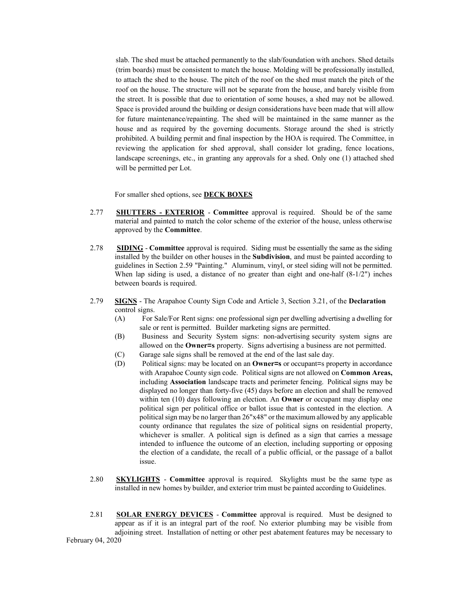slab. The shed must be attached permanently to the slab/foundation with anchors. Shed details (trim boards) must be consistent to match the house. Molding will be professionally installed, to attach the shed to the house. The pitch of the roof on the shed must match the pitch of the roof on the house. The structure will not be separate from the house, and barely visible from the street. It is possible that due to orientation of some houses, a shed may not be allowed. Space is provided around the building or design considerations have been made that will allow for future maintenance/repainting. The shed will be maintained in the same manner as the house and as required by the governing documents. Storage around the shed is strictly prohibited. A building permit and final inspection by the HOA is required. The Committee, in reviewing the application for shed approval, shall consider lot grading, fence locations, landscape screenings, etc., in granting any approvals for a shed. Only one (1) attached shed will be permitted per Lot.

For smaller shed options, see **DECK BOXES**

- 2.77 **SHUTTERS EXTERIOR Committee** approval is required. Should be of the same material and painted to match the color scheme of the exterior of the house, unless otherwise approved by the **Committee**.
- 2.78 **SIDING Committee** approval is required. Siding must be essentially the same as the siding installed by the builder on other houses in the **Subdivision**, and must be painted according to guidelines in Section 2.59 "Painting." Aluminum, vinyl, or steel siding will not be permitted. When lap siding is used, a distance of no greater than eight and one-half (8-1/2") inches between boards is required.
- 2.79 **SIGNS**  The Arapahoe County Sign Code and Article 3, Section 3.21, of the **Declaration** control signs.
	- (A) For Sale/For Rent signs: one professional sign per dwelling advertising a dwelling for sale or rent is permitted. Builder marketing signs are permitted.
	- (B) Business and Security System signs: non-advertising security system signs are allowed on the **Owner=s** property. Signs advertising a business are not permitted.
	- (C) Garage sale signs shall be removed at the end of the last sale day.
	- (D) Political signs: may be located on an **Owner=s** or occupant=s property in accordance with Arapahoe County sign code. Political signs are not allowed on **Common Areas,**  including **Association** landscape tracts and perimeter fencing. Political signs may be displayed no longer than forty-five (45) days before an election and shall be removed within ten (10) days following an election. An **Owner** or occupant may display one political sign per political office or ballot issue that is contested in the election. A political sign may be no larger than 26"x48" or the maximum allowed by any applicable county ordinance that regulates the size of political signs on residential property, whichever is smaller. A political sign is defined as a sign that carries a message intended to influence the outcome of an election, including supporting or opposing the election of a candidate, the recall of a public official, or the passage of a ballot issue.
- 2.80 **SKYLIGHTS Committee** approval is required. Skylights must be the same type as installed in new homes by builder, and exterior trim must be painted according to Guidelines.
- February 04, 2020 2.81 **SOLAR ENERGY DEVICES** - **Committee** approval is required. Must be designed to appear as if it is an integral part of the roof. No exterior plumbing may be visible from adjoining street. Installation of netting or other pest abatement features may be necessary to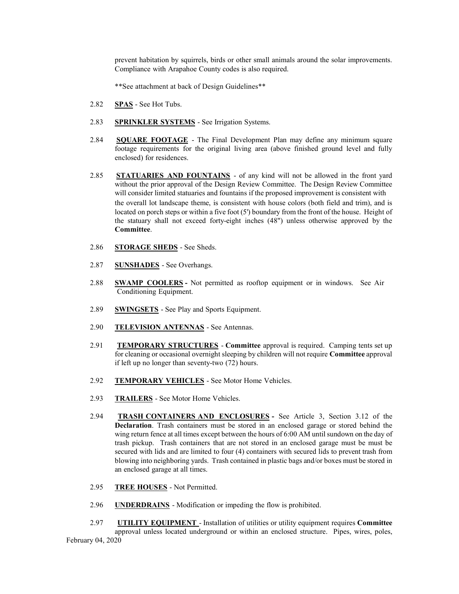prevent habitation by squirrels, birds or other small animals around the solar improvements. Compliance with Arapahoe County codes is also required.

\*\*See attachment at back of Design Guidelines\*\*

- 2.82 **SPAS**  See Hot Tubs.
- 2.83 **SPRINKLER SYSTEMS**  See Irrigation Systems.
- 2.84 **SQUARE FOOTAGE**  The Final Development Plan may define any minimum square footage requirements for the original living area (above finished ground level and fully enclosed) for residences.
- 2.85 **STATUARIES AND FOUNTAINS**  of any kind will not be allowed in the front yard without the prior approval of the Design Review Committee. The Design Review Committee will consider limited statuaries and fountains if the proposed improvement is consistent with the overall lot landscape theme, is consistent with house colors (both field and trim), and is located on porch steps or within a five foot  $(5')$  boundary from the front of the house. Height of the statuary shall not exceed forty-eight inches (48") unless otherwise approved by the **Committee**.
- 2.86 **STORAGE SHEDS**  See Sheds.
- 2.87 **SUNSHADES**  See Overhangs.
- 2.88 **SWAMP COOLERS -** Not permitted as rooftop equipment or in windows. See Air Conditioning Equipment.
- 2.89 **SWINGSETS**  See Play and Sports Equipment.
- 2.90 **TELEVISION ANTENNAS**  See Antennas.
- 2.91 **TEMPORARY STRUCTURES Committee** approval is required. Camping tents set up for cleaning or occasional overnight sleeping by children will not require **Committee** approval if left up no longer than seventy-two (72) hours.
- 2.92 **TEMPORARY VEHICLES**  See Motor Home Vehicles.
- 2.93 **TRAILERS**  See Motor Home Vehicles.
- 2.94 **TRASH CONTAINERS AND ENCLOSURES -** See Article 3, Section 3.12 of the **Declaration**. Trash containers must be stored in an enclosed garage or stored behind the wing return fence at all times except between the hours of 6:00 AM until sundown on the day of trash pickup. Trash containers that are not stored in an enclosed garage must be must be secured with lids and are limited to four (4) containers with secured lids to prevent trash from blowing into neighboring yards. Trash contained in plastic bags and/or boxes must be stored in an enclosed garage at all times.
- 2.95 **TREE HOUSES**  Not Permitted.
- 2.96 **UNDERDRAINS**  Modification or impeding the flow is prohibited.
- February 04, 2020 2.97 **UTILITY EQUIPMENT** - Installation of utilities or utility equipment requires **Committee**  approval unless located underground or within an enclosed structure. Pipes, wires, poles,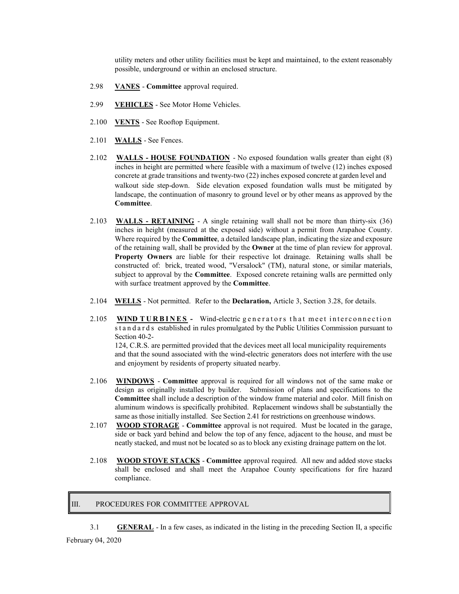utility meters and other utility facilities must be kept and maintained, to the extent reasonably possible, underground or within an enclosed structure.

- 2.98 **VANES Committee** approval required.
- 2.99 **VEHICLES**  See Motor Home Vehicles.
- 2.100 **VENTS**  See Rooftop Equipment.
- 2.101 **WALLS**  See Fences.
- 2.102 **WALLS HOUSE FOUNDATION**  No exposed foundation walls greater than eight (8) inches in height are permitted where feasible with a maximum of twelve (12) inches exposed concrete at grade transitions and twenty-two (22) inches exposed concrete at garden level and walkout side step-down. Side elevation exposed foundation walls must be mitigated by landscape, the continuation of masonry to ground level or by other means as approved by the **Committee**.
- 2.103 **WALLS RETAINING**  A single retaining wall shall not be more than thirty-six (36) inches in height (measured at the exposed side) without a permit from Arapahoe County. Where required by the **Committee**, a detailed landscape plan, indicating the size and exposure of the retaining wall, shall be provided by the **Owner** at the time of plan review for approval. **Property Owners** are liable for their respective lot drainage. Retaining walls shall be constructed of: brick, treated wood, "Versalock" (TM), natural stone, or similar materials, subject to approval by the **Committee**. Exposed concrete retaining walls are permitted only with surface treatment approved by the **Committee**.
- 2.104 **WELLS**  Not permitted. Refer to the **Declaration,** Article 3, Section 3.28, for details.
- 2.105 **WIND TURBINES** Wind-electric generators that meet interconnection standards established in rules promulgated by the Public Utilities Commission pursuant to Section 40-2- 124, C.R.S. are permitted provided that the devices meet all local municipality requirements

and that the sound associated with the wind-electric generators does not interfere with the use and enjoyment by residents of property situated nearby.

- 2.106 **WINDOWS Committee** approval is required for all windows not of the same make or design as originally installed by builder. Submission of plans and specifications to the **Committee** shall include a description of the window frame material and color. Mill finish on aluminum windows is specifically prohibited. Replacement windows shall be substantially the same as those initially installed. See Section 2.41 for restrictions on greenhouse windows.
- 2.107 **WOOD STORAGE Committee** approval is not required. Must be located in the garage, side or back yard behind and below the top of any fence, adjacent to the house, and must be neatly stacked, and must not be located so as to block any existing drainage pattern on the lot.
- 2.108 **WOOD STOVE STACKS Committee** approval required. All new and added stove stacks shall be enclosed and shall meet the Arapahoe County specifications for fire hazard compliance.

#### III. PROCEDURES FOR COMMITTEE APPROVAL

3.1 **GENERAL** - In a few cases, as indicated in the listing in the preceding Section II, a specific

February 04, 2020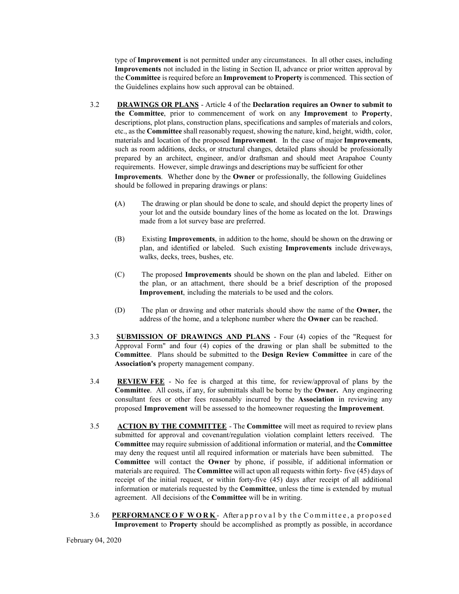type of **Improvement** is not permitted under any circumstances. In all other cases, including **Improvements** not included in the listing in Section II, advance or prior written approval by the **Committee** is required before an **Improvement** to **Property** is commenced. This section of the Guidelines explains how such approval can be obtained.

- 3.2 **DRAWINGS OR PLANS**  Article 4 of the **Declaration requires an Owner to submit to the Committee**, prior to commencement of work on any **Improvement** to **Property**, descriptions, plot plans, construction plans, specifications and samples of materials and colors, etc., as the **Committee** shall reasonably request, showing the nature, kind, height, width, color, materials and location of the proposed **Improvement**. In the case of major **Improvements**, such as room additions, decks, or structural changes, detailed plans should be professionally prepared by an architect, engineer, and/or draftsman and should meet Arapahoe County requirements. However, simple drawings and descriptions may be sufficient for other **Improvements**. Whether done by the **Owner** or professionally, the following Guidelines should be followed in preparing drawings or plans:
	- **(**A) The drawing or plan should be done to scale, and should depict the property lines of your lot and the outside boundary lines of the home as located on the lot. Drawings made from a lot survey base are preferred.
	- (B) Existing **Improvements**, in addition to the home, should be shown on the drawing or plan, and identified or labeled. Such existing **Improvements** include driveways, walks, decks, trees, bushes, etc.
	- (C) The proposed **Improvements** should be shown on the plan and labeled. Either on the plan, or an attachment, there should be a brief description of the proposed **Improvement**, including the materials to be used and the colors.
	- (D) The plan or drawing and other materials should show the name of the **Owner,** the address of the home, and a telephone number where the **Owner** can be reached.
- 3.3 **SUBMISSION OF DRAWINGS AND PLANS**  Four (4) copies of the "Request for Approval Form" and four (4) copies of the drawing or plan shall be submitted to the **Committee**. Plans should be submitted to the **Design Review Committee** in care of the **Association's** property management company.
- 3.4 **REVIEW FEE**  No fee is charged at this time, for review/approval of plans by the **Committee**. All costs, if any, for submittals shall be borne by the **Owner.** Any engineering consultant fees or other fees reasonably incurred by the **Association** in reviewing any proposed **Improvement** will be assessed to the homeowner requesting the **Improvement**.
- 3.5 **ACTION BY THE COMMITTEE**  The **Committee** will meet as required to review plans submitted for approval and covenant/regulation violation complaint letters received. The **Committee** may require submission of additional information or material, and the **Committee**  may deny the request until all required information or materials have been submitted. The **Committee** will contact the **Owner** by phone, if possible, if additional information or materials are required. The **Committee** will act upon all requests within forty- five (45) days of receipt of the initial request, or within forty-five (45) days after receipt of all additional information or materials requested by the **Committee**, unless the time is extended by mutual agreement. All decisions of the **Committee** will be in writing.
- 3.6 PERFORMANCE OF WORK- After approval by the Committee, a proposed **Improvement** to **Property** should be accomplished as promptly as possible, in accordance

February 04, 2020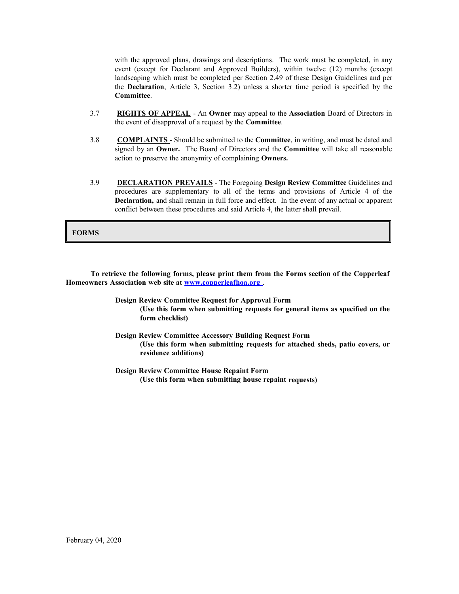with the approved plans, drawings and descriptions. The work must be completed, in any event (except for Declarant and Approved Builders), within twelve (12) months (except landscaping which must be completed per Section 2.49 of these Design Guidelines and per the **Declaration**, Article 3, Section 3.2) unless a shorter time period is specified by the **Committee**.

- 3.7 **RIGHTS OF APPEAL**  An **Owner** may appeal to the **Association** Board of Directors in the event of disapproval of a request by the **Committee**.
- 3.8 **COMPLAINTS**  Should be submitted to the **Committee**, in writing, and must be dated and signed by an **Owner.** The Board of Directors and the **Committee** will take all reasonable action to preserve the anonymity of complaining **Owners.**
- 3.9 **DECLARATION PREVAILS**  The Foregoing **Design Review Committee** Guidelines and procedures are supplementary to all of the terms and provisions of Article 4 of the **Declaration,** and shall remain in full force and effect. In the event of any actual or apparent conflict between these procedures and said Article 4, the latter shall prevail.

#### **FORMS**

**To retrieve the following forms, please print them from the Forms section of the Copperleaf Homeowners Association web site at www.copperleafhoa.org** .

> **Design Review Committee Request for Approval Form (Use this form when submitting requests for general items as specified on the form checklist)**

> **Design Review Committee Accessory Building Request Form (Use this form when submitting requests for attached sheds, patio covers, or residence additions)**

**Design Review Committee House Repaint Form (Use this form when submitting house repaint requests)**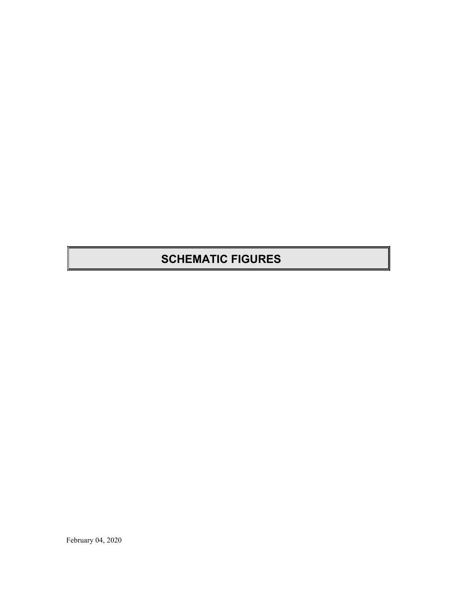### **SCHEMATIC FIGURES**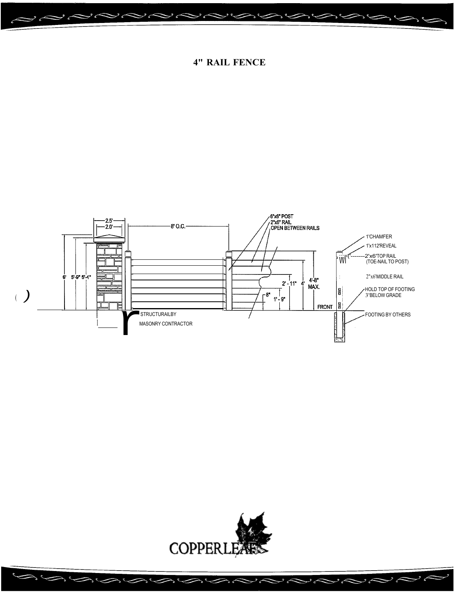



ゝィ

سے د

 $\sim$ 

 $\overline{\mathscr{L}}$ 

 $\overline{\mathbb{R}}$ 

 $\rightarrow$ 

 $\Rightarrow$ 

 $\Rightarrow$   $\circ$ 

**4" RAIL FENCE** 

 $\sim$ 

 $\sim$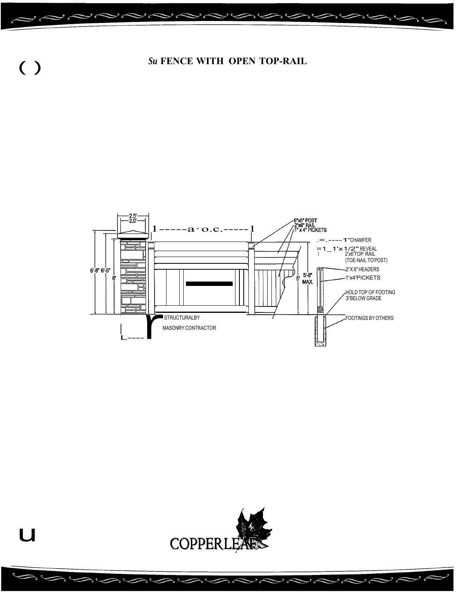





 $\sim$ 

 $\overline{z}$ 

 $\overline{\mathscr{L}}$ 

سب د

 $\sim$ 

 $\rightarrow$   $\leftarrow$ 

 $( )$ 

 $\overline{u}$ 

 $\geq$ 

 $\Rightarrow$ 

 $\lambda$ 

 $\sim$ 

 $\overline{\phantom{0}}$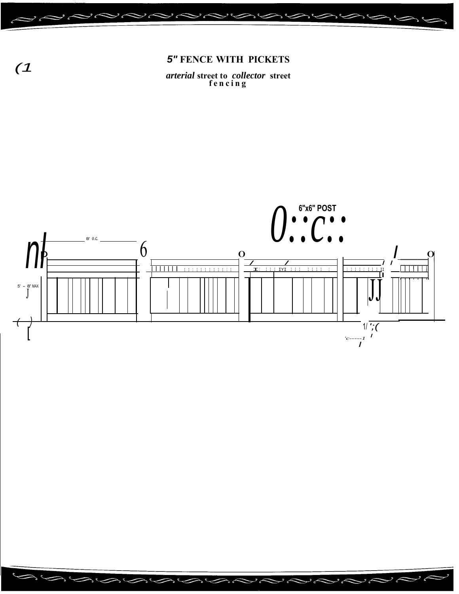

arterial street to collector street<br>fencing



تم و

سم و

 $\overline{\mathcal{L}}$ 

 $\overline{\mathscr{L}}$ 

 $(1)$ 

 $\mathcal{L}$ 

 $\lambda$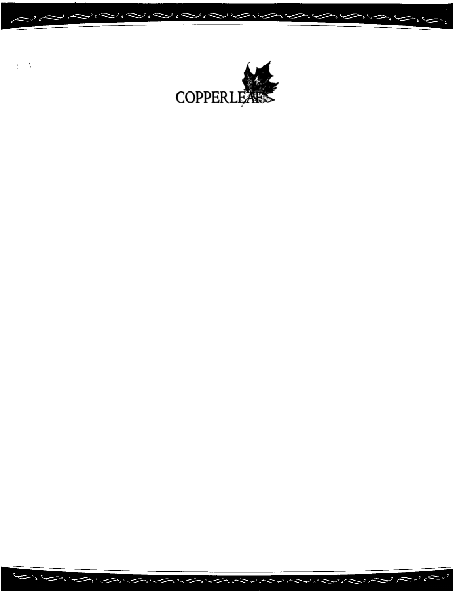

いうらいいいとうしてつかく

تے و

ىم و

 $($   $\sqrt{ }$ 

 $\sim$ 

 $\boldsymbol{\mathcal{S}}$